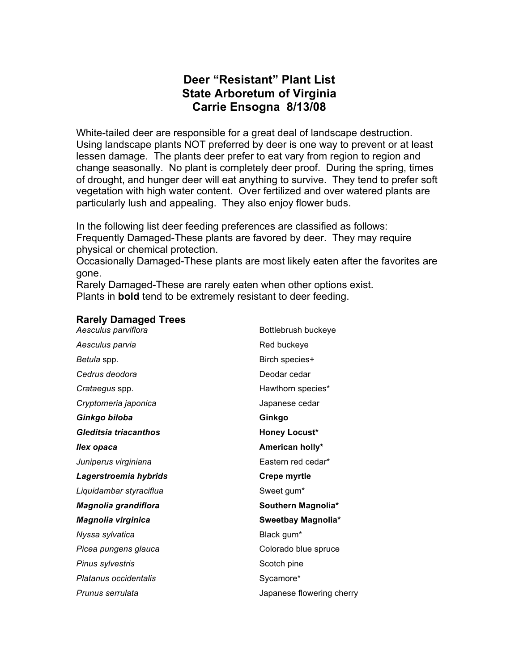# **Deer "Resistant" Plant List State Arboretum of Virginia Carrie Ensogna 8/13/08**

White-tailed deer are responsible for a great deal of landscape destruction. Using landscape plants NOT preferred by deer is one way to prevent or at least lessen damage. The plants deer prefer to eat vary from region to region and change seasonally. No plant is completely deer proof. During the spring, times of drought, and hunger deer will eat anything to survive. They tend to prefer soft vegetation with high water content. Over fertilized and over watered plants are particularly lush and appealing. They also enjoy flower buds.

In the following list deer feeding preferences are classified as follows: Frequently Damaged-These plants are favored by deer. They may require physical or chemical protection.

Occasionally Damaged-These plants are most likely eaten after the favorites are gone.

Rarely Damaged-These are rarely eaten when other options exist. Plants in **bold** tend to be extremely resistant to deer feeding.

# **Rarely Damaged Trees**

**Bottlebrush buckeye** Aesculus parvia **Red buckeye** Red buckeye *Betula spp.* Birch species+ **Cedrus deodora Deodar cedar Crataegus spp.** The contract of the Hawthorn species\* *Cryptomeria japonica* Japanese cedar *Ginkgo biloba* **Ginkgo** *Gleditsia triacanthos* **Honey Locust\*** *Ilex opaca* **American holly\*** *Juniperus virginiana* Eastern red cedar\* *Lagerstroemia hybrids* **Crepe myrtle** Liquidambar styraciflua<br>
Sweet gum<sup>\*</sup> *Magnolia grandiflora* **Southern Magnolia\*** *Magnolia virginica* **Sweetbay Magnolia\* Nyssa sylvatica Black gum\* Picea pungens glauca** Colorado blue spruce **Pinus sylvestris** Scotch pine **Platanus occidentalis** and **Sycamore** Sycamore **Sycamore Sycamore Sycamore Sycamore Sycamore Sycamore Sycamore Sycamore Sycamore Sycamore Sycamore Sycamore Sycamore Sycamore Sycamore Sycamore Prunus serrulata** *Prunus serrulata Prunus serrulata Algoenery Algoenery Algoenery Algoenery*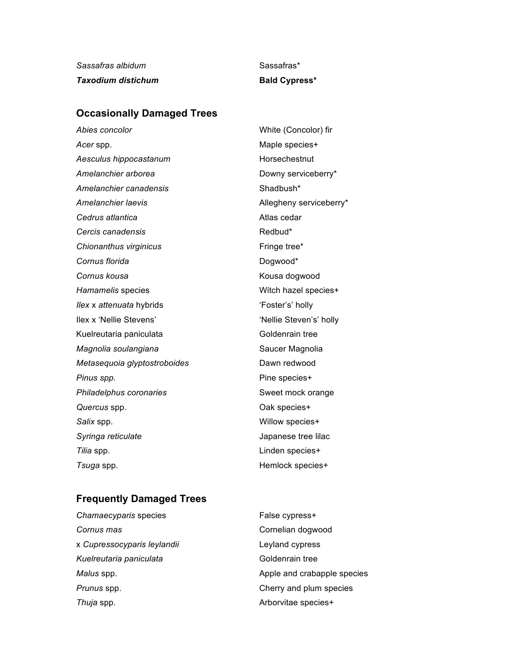*Sassafras albidum* Sassafras\* **Taxodium distichum Bald Cypress\*** 

## **Occasionally Damaged Trees**

*Abies concolor* White (Concolor) fir Acer spp. **Acer spinses Acer species** + Aesculus hippocastanum<br>
Horsechestnut Amelanchier arborea **Downy serviceberry Amelanchier** arborea Amelanchier canadensis<br>
Shadbush\* Amelanchier laevis **Allegheny serviceberry**\* **Cedrus atlantica** Cedar Atlas cedar **Cercis canadensis Redbud\* Chionanthus virginicus** Fringe tree\* **Cornus florida** Dogwood\* **Cornus kousa** Kousa dogwood *Hamamelis* species Milliams Witch hazel species+ *Ilex x attenuata* hybrids **interval** *if*  $\sim$  'Foster's' holly Ilex x 'Nellie Stevens' 'Nellie Steven's' holly Kuelreutaria paniculata Goldenrain tree **Magnolia soulangiana** Saucer Magnolia *Metasequoia glyptostroboides* Dawn redwood **Pinus spp. Pinus spp. Pine species+ Philadelphus coronaries** Sweet mock orange *Quercus* spp. Oak species+ *Salix* spp. Willow species+ *Syringa reticulate* Japanese tree lilac *Tilia* spp. Linden species+ **Tsuga** spp. **All and Secure 3 and Secure 3 and Hemlock species+** 

### **Frequently Damaged Trees**

| Chamaecyparis species       | False cypress+              |
|-----------------------------|-----------------------------|
| Cornus mas                  | Cornelian dogwood           |
| x Cupressocyparis leylandii | Leyland cypress             |
| Kuelreutaria paniculata     | Goldenrain tree             |
| Malus spp.                  | Apple and crabapple species |
| Prunus spp.                 | Cherry and plum species     |
| Thuja spp.                  | Arborvitae species+         |
|                             |                             |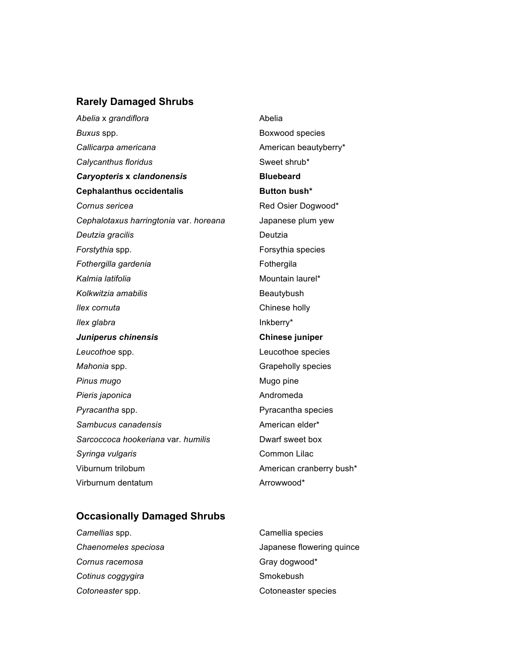#### **Rarely Damaged Shrubs**

Abelia x *grandiflora* and the *Abelia* Abelia **Buxus spp. Boxwood species** Callicarpa americana<br> **Callicarpa americana** Calycanthus floridus **Sweet shrub**\* Sweet shrub\* *Caryopteris* **x** *clandonensis* **Bluebeard Cephalanthus occidentalis Button bush\* Cornus sericea Red Osier Dogwood\*** *Cephalotaxus harringtonia* var. *horeana* Japanese plum yew *Deutzia gracilis* Deutzia **Forstythia** spp. **Forsythia** species **Fothergilla gardenia** extending the Fothergila Kalmia latifolia **Musicipality Community** Mountain laurel<sup>\*</sup> Kolkwitzia amabilis **Beautybush** Beautybush *Ilex cornuta* Chinese holly *Ilex glabra* **Inkberry**\* *Juniperus chinensis* **Chinese juniper** *Leucothoe* spp. Leucothoe species *Mahonia* spp. **Grapeholly** species **Pinus mugo** Mugo pine Pieris japonica **Andromeda** Andromeda **Pyracantha spp. COVER 1999 Pyracantha species** Sambucus canadensis **American** elder<sup>\*</sup> *Sarcoccoca hookeriana* var. *humilis* Dwarf sweet box **Syringa vulgaris** Common Lilac Viburnum trilobum **American cranberry bush\*** Virburnum dentatum and a material and a Arrowwood\*

### **Occasionally Damaged Shrubs**

| Camellias spp.       | Camellia species          |
|----------------------|---------------------------|
| Chaenomeles speciosa | Japanese flowering quince |
| Cornus racemosa      | Gray dogwood*             |
| Cotinus coggygira    | Smokebush                 |
| Cotoneaster spp.     | Cotoneaster species       |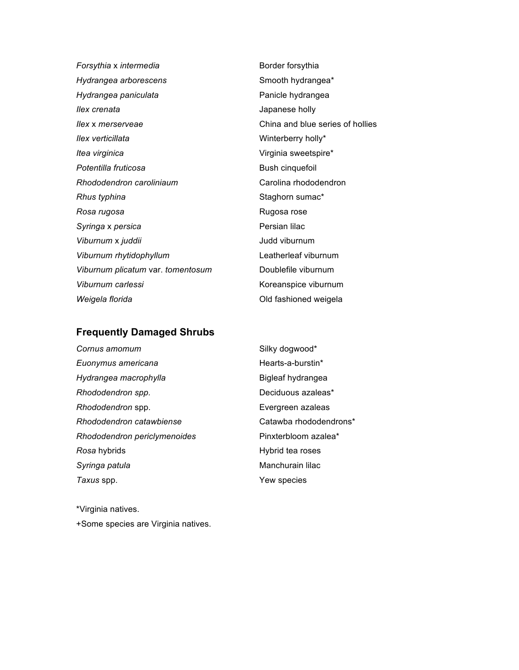**Forsythia** x *intermedia* Border forsythia *Hydrangea arborescens* Smooth hydrangea\* Hydrangea paniculata **Paniculata** Panicle hydrangea *Ilex crenata* Japanese holly *Ilex* x *merserveae* China and blue series of hollies *Ilex verticillata* Minterberry holly\* *Itea virginica* Virginia sweetspire\* **Potentilla fruticosa Bush cinquefoil** *Rhododendron caroliniaum* Carolina rhododendron **Rhus typhina** Staghorn sumac<sup>\*</sup> **Rosa rugosa Rosa rose** Rugosa rose **Syringa** x persica **Persian lilac** Persian lilac *Viburnum* x *juddii* Judd viburnum *Viburnum rhytidophyllum* Leatherleaf viburnum *Viburnum plicatum* var. *tomentosum* Doublefile viburnum Viburnum carlessi **Koreanspice** viburnum **Weigela florida COLL COLL COLL** COLL FASHIONED **COLL** COLL FASHIONED **Weigela** 

#### **Frequently Damaged Shrubs**

**Cornus amomum** Silky dogwood\* *Euonymus americana* example and the Hearts-a-burstin\* *Hydrangea macrophylla* Bigleaf hydrangea **Rhododendron spp.** The control of the Deciduous azaleas\* *Rhododendron* spp. Evergreen azaleas *Rhododendron catawbiense* Catawba rhododendrons\* *Rhododendron periclymenoides* Pinxterbloom azalea\* **Rosa** hybrids **Hybrid tea roses Syringa patula** Manchurain lilac *Taxus* spp. Yew species

\*Virginia natives.

+Some species are Virginia natives.